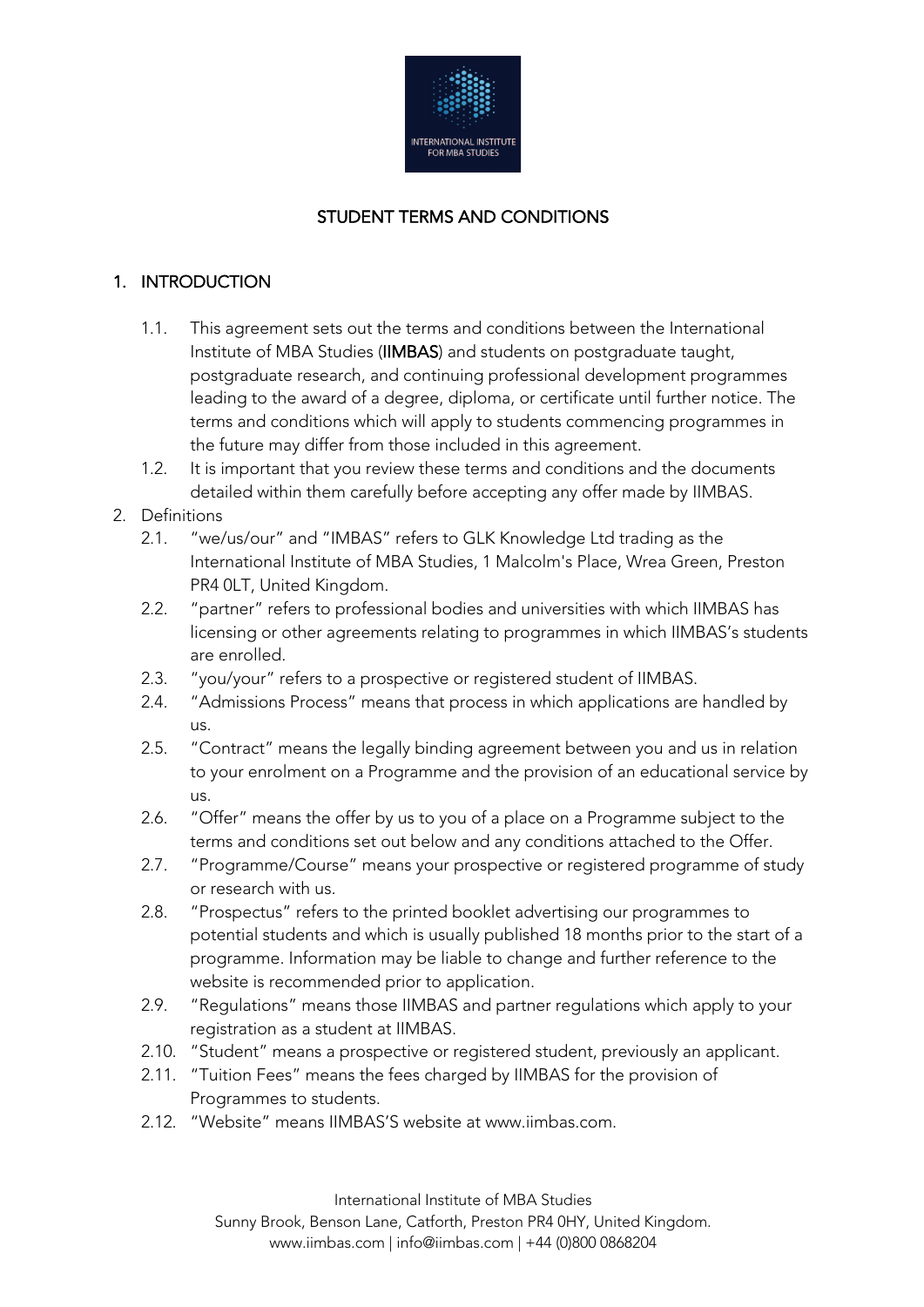

# STUDENT TERMS AND CONDITIONS

# 1. INTRODUCTION

- 1.1. This agreement sets out the terms and conditions between the International Institute of MBA Studies (IIMBAS) and students on postgraduate taught, postgraduate research, and continuing professional development programmes leading to the award of a degree, diploma, or certificate until further notice. The terms and conditions which will apply to students commencing programmes in the future may differ from those included in this agreement.
- 1.2. It is important that you review these terms and conditions and the documents detailed within them carefully before accepting any offer made by IIMBAS.

## 2. Definitions

- 2.1. "we/us/our" and "IMBAS" refers to GLK Knowledge Ltd trading as the International Institute of MBA Studies, 1 Malcolm's Place, Wrea Green, Preston PR4 0LT, United Kingdom.
- 2.2. "partner" refers to professional bodies and universities with which IIMBAS has licensing or other agreements relating to programmes in which IIMBAS's students are enrolled.
- 2.3. "you/your" refers to a prospective or registered student of IIMBAS.
- 2.4. "Admissions Process" means that process in which applications are handled by us.
- 2.5. "Contract" means the legally binding agreement between you and us in relation to your enrolment on a Programme and the provision of an educational service by  $\overline{18}$
- 2.6. "Offer" means the offer by us to you of a place on a Programme subject to the terms and conditions set out below and any conditions attached to the Offer.
- 2.7. "Programme/Course" means your prospective or registered programme of study or research with us.
- 2.8. "Prospectus" refers to the printed booklet advertising our programmes to potential students and which is usually published 18 months prior to the start of a programme. Information may be liable to change and further reference to the website is recommended prior to application.
- 2.9. "Regulations" means those IIMBAS and partner regulations which apply to your registration as a student at IIMBAS.
- 2.10. "Student" means a prospective or registered student, previously an applicant.
- 2.11. "Tuition Fees" means the fees charged by IIMBAS for the provision of Programmes to students.
- 2.12. "Website" means IIMBAS'S website at www.iimbas.com.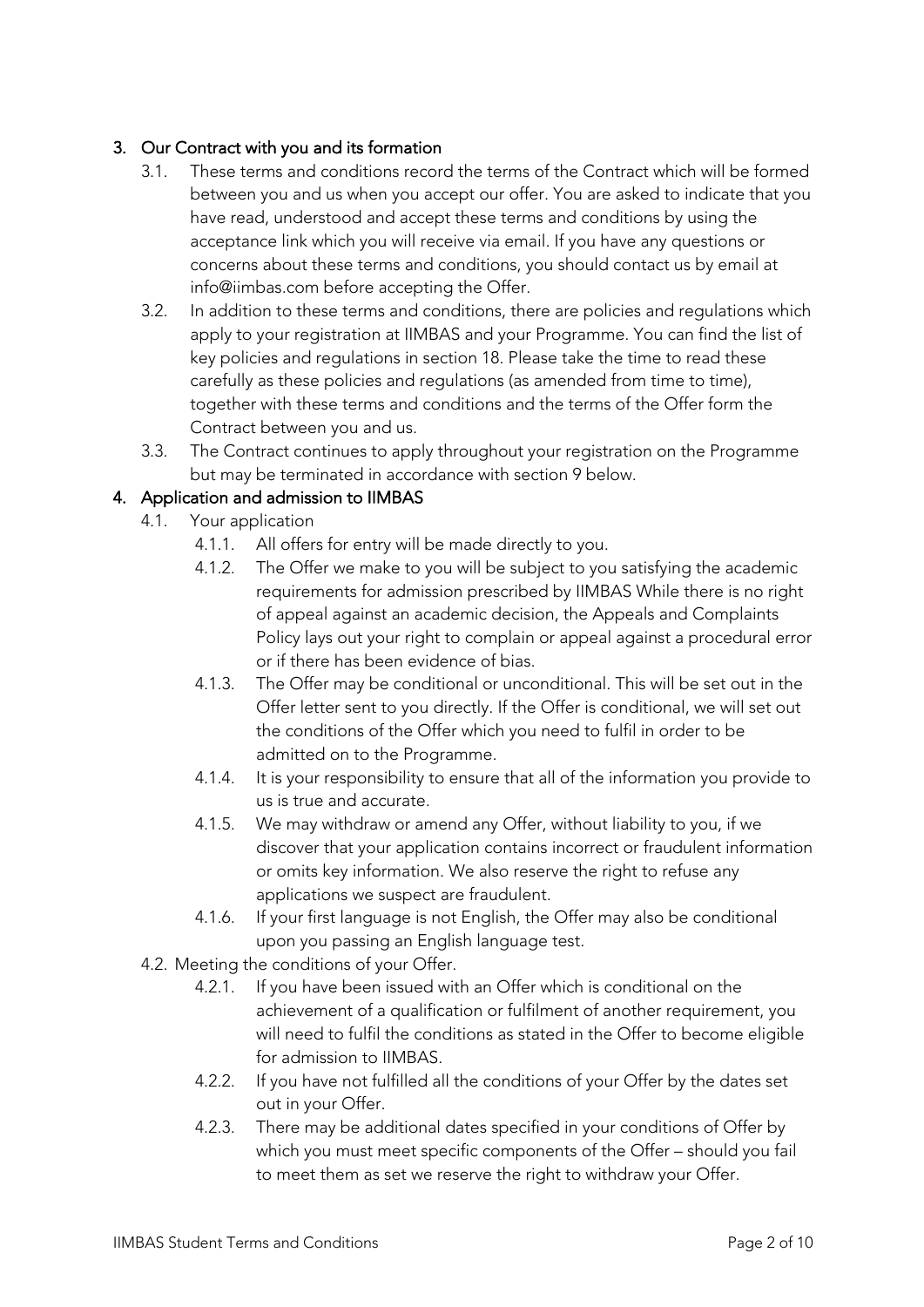## 3. Our Contract with you and its formation

- 3.1. These terms and conditions record the terms of the Contract which will be formed between you and us when you accept our offer. You are asked to indicate that you have read, understood and accept these terms and conditions by using the acceptance link which you will receive via email. If you have any questions or concerns about these terms and conditions, you should contact us by email at info@iimbas.com before accepting the Offer.
- 3.2. In addition to these terms and conditions, there are policies and regulations which apply to your registration at IIMBAS and your Programme. You can find the list of key policies and regulations in section 18. Please take the time to read these carefully as these policies and regulations (as amended from time to time), together with these terms and conditions and the terms of the Offer form the Contract between you and us.
- 3.3. The Contract continues to apply throughout your registration on the Programme but may be terminated in accordance with section 9 below.

## 4. Application and admission to IIMBAS

- 4.1. Your application
	- 4.1.1. All offers for entry will be made directly to you.
	- 4.1.2. The Offer we make to you will be subject to you satisfying the academic requirements for admission prescribed by IIMBAS While there is no right of appeal against an academic decision, the Appeals and Complaints Policy lays out your right to complain or appeal against a procedural error or if there has been evidence of bias.
	- 4.1.3. The Offer may be conditional or unconditional. This will be set out in the Offer letter sent to you directly. If the Offer is conditional, we will set out the conditions of the Offer which you need to fulfil in order to be admitted on to the Programme.
	- 4.1.4. It is your responsibility to ensure that all of the information you provide to us is true and accurate.
	- 4.1.5. We may withdraw or amend any Offer, without liability to you, if we discover that your application contains incorrect or fraudulent information or omits key information. We also reserve the right to refuse any applications we suspect are fraudulent.
	- 4.1.6. If your first language is not English, the Offer may also be conditional upon you passing an English language test.
- 4.2. Meeting the conditions of your Offer.
	- 4.2.1. If you have been issued with an Offer which is conditional on the achievement of a qualification or fulfilment of another requirement, you will need to fulfil the conditions as stated in the Offer to become eligible for admission to IIMBAS.
	- 4.2.2. If you have not fulfilled all the conditions of your Offer by the dates set out in your Offer.
	- 4.2.3. There may be additional dates specified in your conditions of Offer by which you must meet specific components of the Offer – should you fail to meet them as set we reserve the right to withdraw your Offer.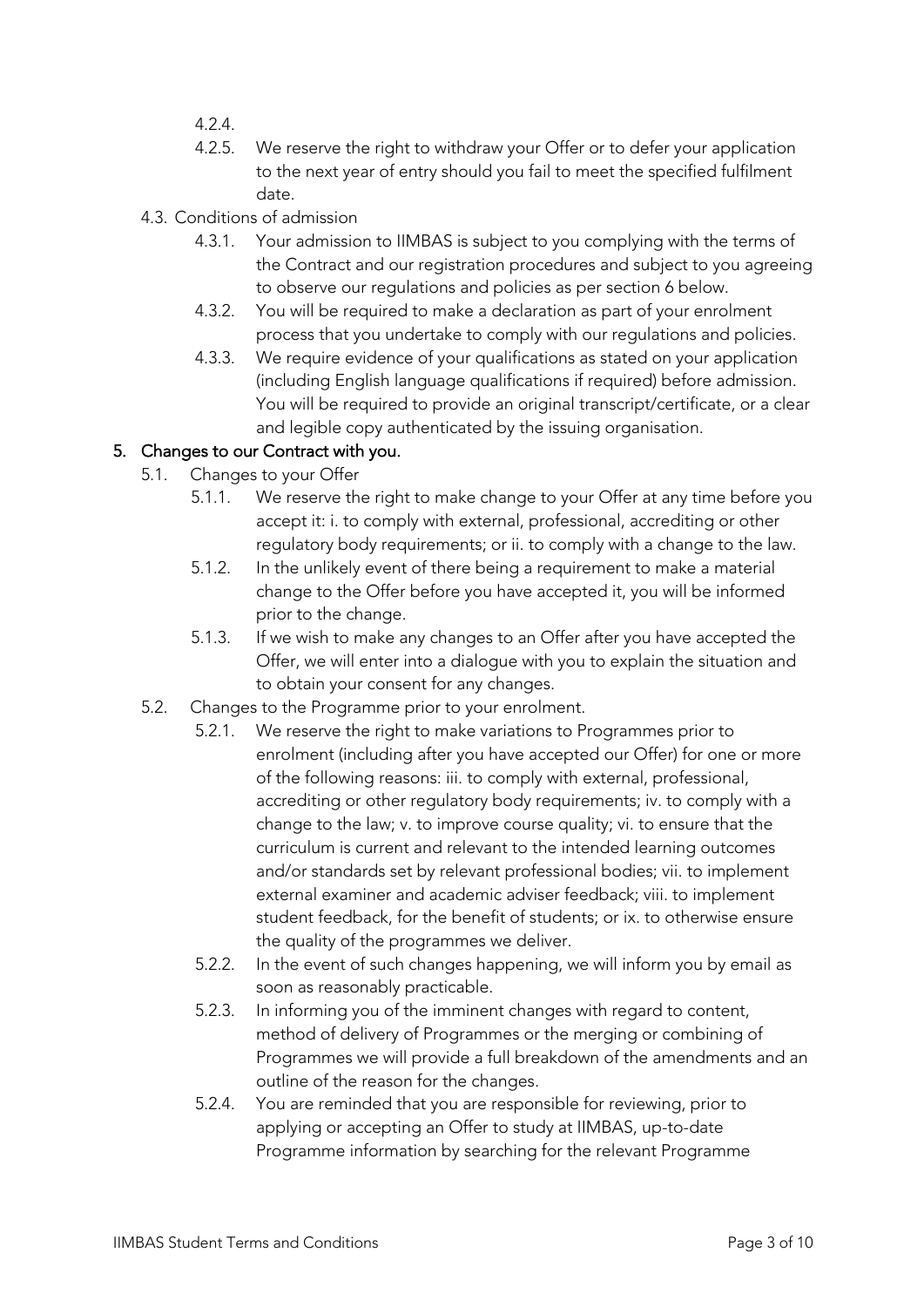- 4.2.4.
- 4.2.5. We reserve the right to withdraw your Offer or to defer your application to the next year of entry should you fail to meet the specified fulfilment date.
- 4.3. Conditions of admission
	- 4.3.1. Your admission to IIMBAS is subject to you complying with the terms of the Contract and our registration procedures and subject to you agreeing to observe our regulations and policies as per section 6 below.
	- 4.3.2. You will be required to make a declaration as part of your enrolment process that you undertake to comply with our regulations and policies.
	- 4.3.3. We require evidence of your qualifications as stated on your application (including English language qualifications if required) before admission. You will be required to provide an original transcript/certificate, or a clear and legible copy authenticated by the issuing organisation.

## 5. Changes to our Contract with you.

- 5.1. Changes to your Offer
	- 5.1.1. We reserve the right to make change to your Offer at any time before you accept it: i. to comply with external, professional, accrediting or other regulatory body requirements; or ii. to comply with a change to the law.
	- 5.1.2. In the unlikely event of there being a requirement to make a material change to the Offer before you have accepted it, you will be informed prior to the change.
	- 5.1.3. If we wish to make any changes to an Offer after you have accepted the Offer, we will enter into a dialogue with you to explain the situation and to obtain your consent for any changes.
- 5.2. Changes to the Programme prior to your enrolment.
	- 5.2.1. We reserve the right to make variations to Programmes prior to enrolment (including after you have accepted our Offer) for one or more of the following reasons: iii. to comply with external, professional, accrediting or other regulatory body requirements; iv. to comply with a change to the law; v. to improve course quality; vi. to ensure that the curriculum is current and relevant to the intended learning outcomes and/or standards set by relevant professional bodies; vii. to implement external examiner and academic adviser feedback; viii. to implement student feedback, for the benefit of students; or ix. to otherwise ensure the quality of the programmes we deliver.
	- 5.2.2. In the event of such changes happening, we will inform you by email as soon as reasonably practicable.
	- 5.2.3. In informing you of the imminent changes with regard to content, method of delivery of Programmes or the merging or combining of Programmes we will provide a full breakdown of the amendments and an outline of the reason for the changes.
	- 5.2.4. You are reminded that you are responsible for reviewing, prior to applying or accepting an Offer to study at IIMBAS, up-to-date Programme information by searching for the relevant Programme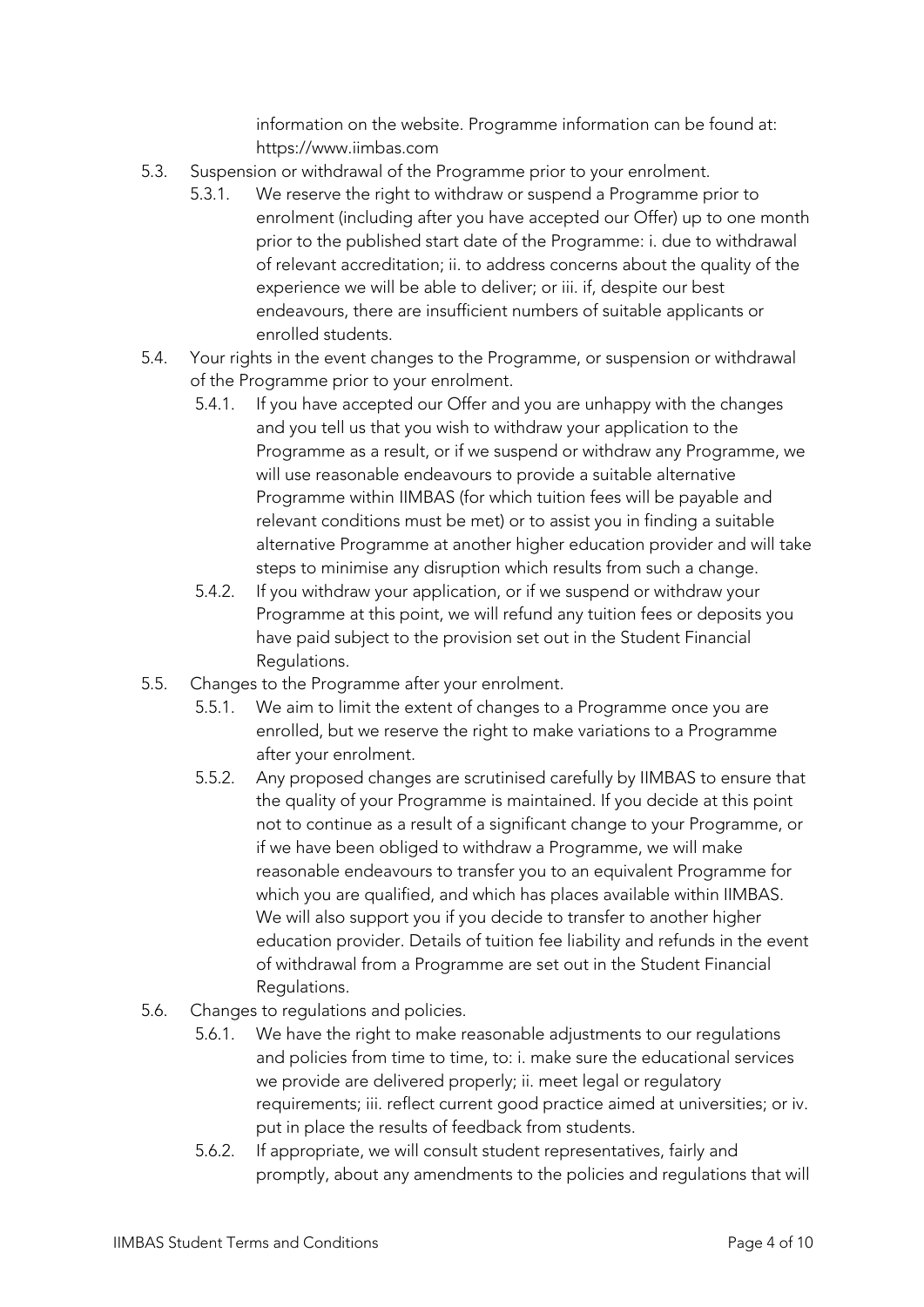information on the website. Programme information can be found at: https://www.iimbas.com

- 5.3. Suspension or withdrawal of the Programme prior to your enrolment.
	- 5.3.1. We reserve the right to withdraw or suspend a Programme prior to enrolment (including after you have accepted our Offer) up to one month prior to the published start date of the Programme: i. due to withdrawal of relevant accreditation; ii. to address concerns about the quality of the experience we will be able to deliver; or iii. if, despite our best endeavours, there are insufficient numbers of suitable applicants or enrolled students.
- 5.4. Your rights in the event changes to the Programme, or suspension or withdrawal of the Programme prior to your enrolment.
	- 5.4.1. If you have accepted our Offer and you are unhappy with the changes and you tell us that you wish to withdraw your application to the Programme as a result, or if we suspend or withdraw any Programme, we will use reasonable endeavours to provide a suitable alternative Programme within IIMBAS (for which tuition fees will be payable and relevant conditions must be met) or to assist you in finding a suitable alternative Programme at another higher education provider and will take steps to minimise any disruption which results from such a change.
	- 5.4.2. If you withdraw your application, or if we suspend or withdraw your Programme at this point, we will refund any tuition fees or deposits you have paid subject to the provision set out in the Student Financial Regulations.
- 5.5. Changes to the Programme after your enrolment.
	- 5.5.1. We aim to limit the extent of changes to a Programme once you are enrolled, but we reserve the right to make variations to a Programme after your enrolment.
	- 5.5.2. Any proposed changes are scrutinised carefully by IIMBAS to ensure that the quality of your Programme is maintained. If you decide at this point not to continue as a result of a significant change to your Programme, or if we have been obliged to withdraw a Programme, we will make reasonable endeavours to transfer you to an equivalent Programme for which you are qualified, and which has places available within IIMBAS. We will also support you if you decide to transfer to another higher education provider. Details of tuition fee liability and refunds in the event of withdrawal from a Programme are set out in the Student Financial Regulations.
- 5.6. Changes to regulations and policies.
	- 5.6.1. We have the right to make reasonable adjustments to our regulations and policies from time to time, to: i. make sure the educational services we provide are delivered properly; ii. meet legal or regulatory requirements; iii. reflect current good practice aimed at universities; or iv. put in place the results of feedback from students.
	- 5.6.2. If appropriate, we will consult student representatives, fairly and promptly, about any amendments to the policies and regulations that will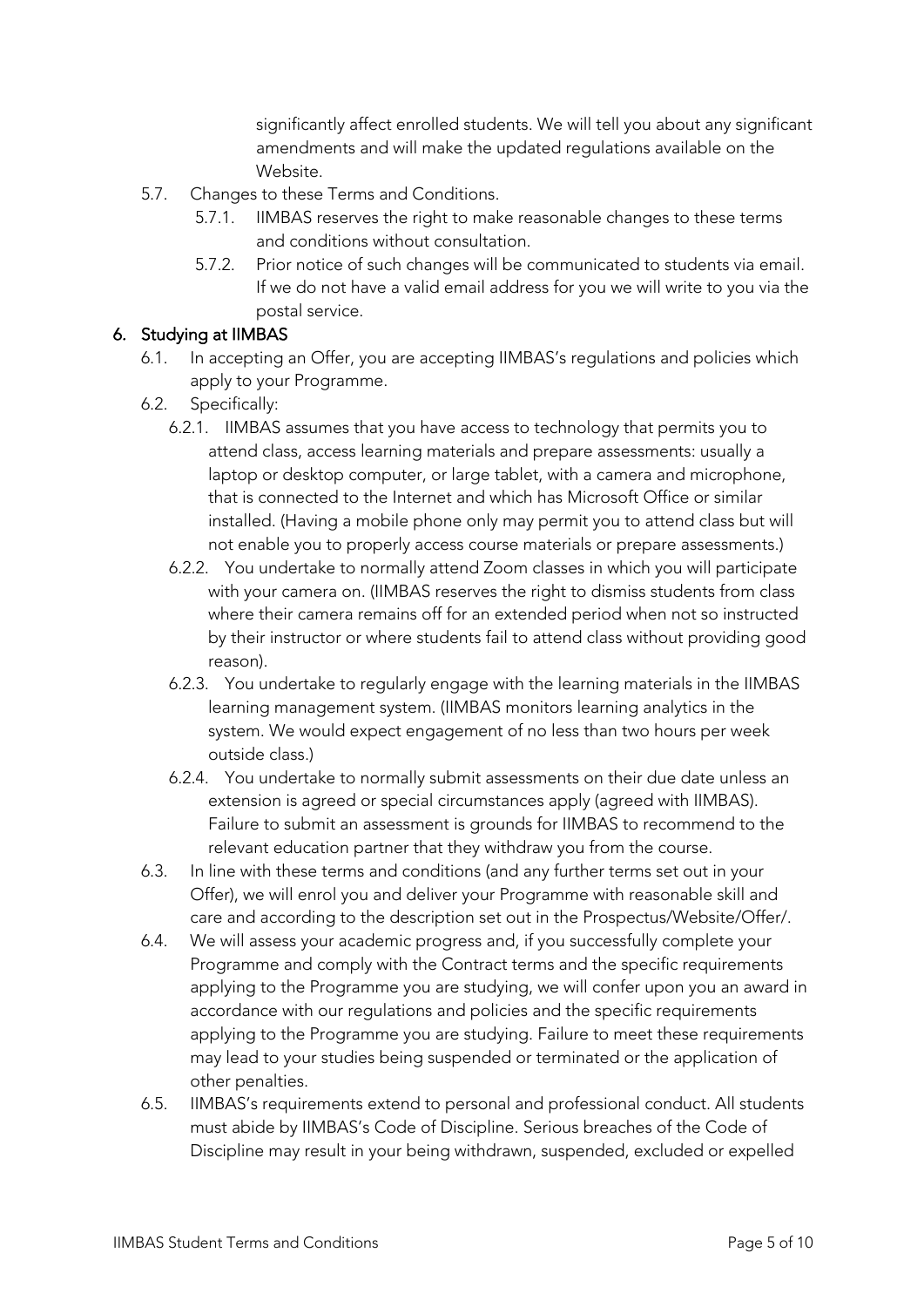significantly affect enrolled students. We will tell you about any significant amendments and will make the updated regulations available on the Website.

- 5.7. Changes to these Terms and Conditions.
	- 5.7.1. IIMBAS reserves the right to make reasonable changes to these terms and conditions without consultation.
	- 5.7.2. Prior notice of such changes will be communicated to students via email. If we do not have a valid email address for you we will write to you via the postal service.

## 6. Studying at IIMBAS

- 6.1. In accepting an Offer, you are accepting IIMBAS's regulations and policies which apply to your Programme.
- 6.2. Specifically:
	- 6.2.1. IIMBAS assumes that you have access to technology that permits you to attend class, access learning materials and prepare assessments: usually a laptop or desktop computer, or large tablet, with a camera and microphone, that is connected to the Internet and which has Microsoft Office or similar installed. (Having a mobile phone only may permit you to attend class but will not enable you to properly access course materials or prepare assessments.)
	- 6.2.2. You undertake to normally attend Zoom classes in which you will participate with your camera on. (IIMBAS reserves the right to dismiss students from class where their camera remains off for an extended period when not so instructed by their instructor or where students fail to attend class without providing good reason).
	- 6.2.3. You undertake to regularly engage with the learning materials in the IIMBAS learning management system. (IIMBAS monitors learning analytics in the system. We would expect engagement of no less than two hours per week outside class.)
	- 6.2.4. You undertake to normally submit assessments on their due date unless an extension is agreed or special circumstances apply (agreed with IIMBAS). Failure to submit an assessment is grounds for IIMBAS to recommend to the relevant education partner that they withdraw you from the course.
- 6.3. In line with these terms and conditions (and any further terms set out in your Offer), we will enrol you and deliver your Programme with reasonable skill and care and according to the description set out in the Prospectus/Website/Offer/.
- 6.4. We will assess your academic progress and, if you successfully complete your Programme and comply with the Contract terms and the specific requirements applying to the Programme you are studying, we will confer upon you an award in accordance with our regulations and policies and the specific requirements applying to the Programme you are studying. Failure to meet these requirements may lead to your studies being suspended or terminated or the application of other penalties.
- 6.5. IIMBAS's requirements extend to personal and professional conduct. All students must abide by IIMBAS's Code of Discipline. Serious breaches of the Code of Discipline may result in your being withdrawn, suspended, excluded or expelled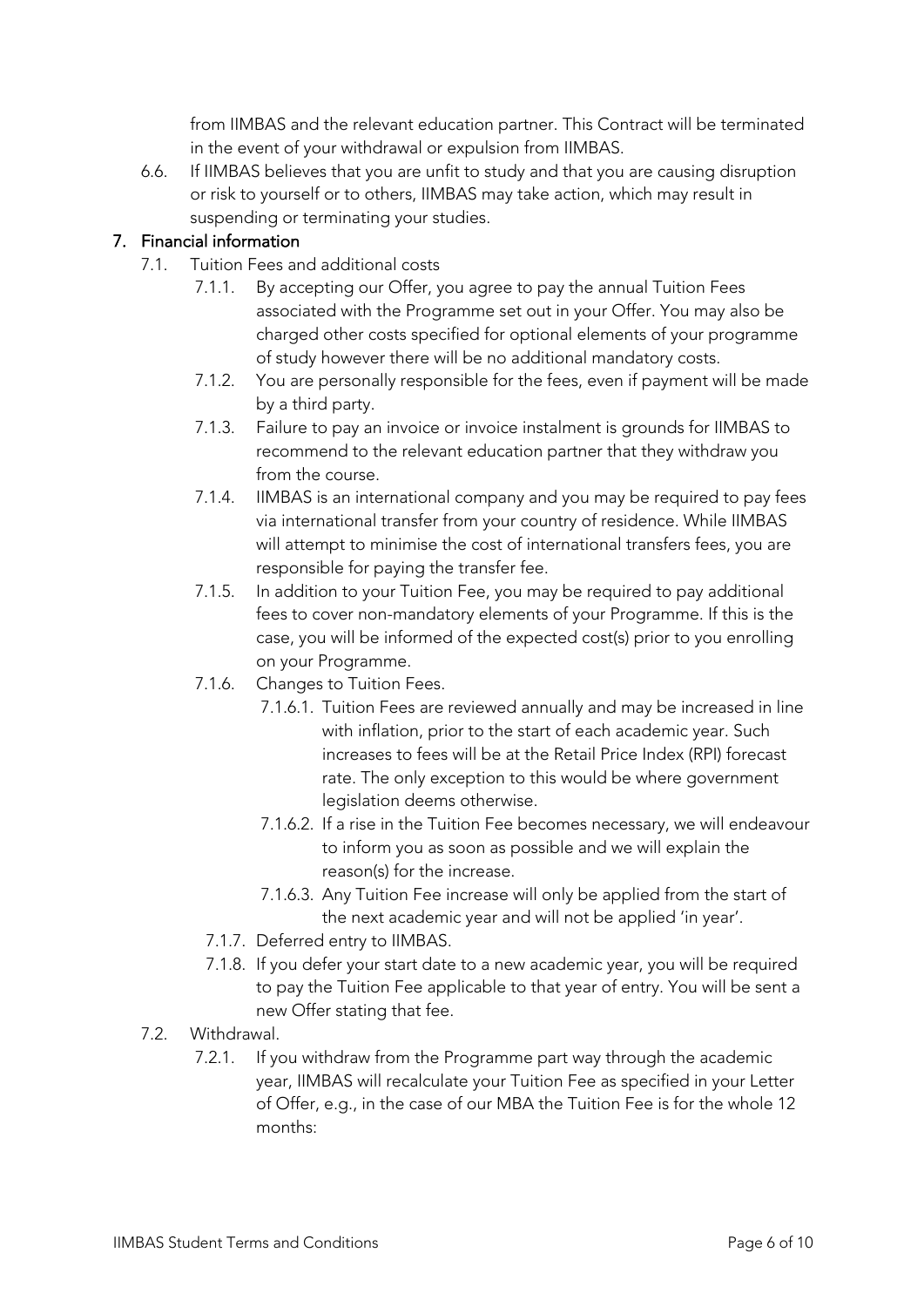from IIMBAS and the relevant education partner. This Contract will be terminated in the event of your withdrawal or expulsion from IIMBAS.

6.6. If IIMBAS believes that you are unfit to study and that you are causing disruption or risk to yourself or to others, IIMBAS may take action, which may result in suspending or terminating your studies.

## 7. Financial information

- 7.1. Tuition Fees and additional costs
	- 7.1.1. By accepting our Offer, you agree to pay the annual Tuition Fees associated with the Programme set out in your Offer. You may also be charged other costs specified for optional elements of your programme of study however there will be no additional mandatory costs.
	- 7.1.2. You are personally responsible for the fees, even if payment will be made by a third party.
	- 7.1.3. Failure to pay an invoice or invoice instalment is grounds for IIMBAS to recommend to the relevant education partner that they withdraw you from the course.
	- 7.1.4. IIMBAS is an international company and you may be required to pay fees via international transfer from your country of residence. While IIMBAS will attempt to minimise the cost of international transfers fees, you are responsible for paying the transfer fee.
	- 7.1.5. In addition to your Tuition Fee, you may be required to pay additional fees to cover non-mandatory elements of your Programme. If this is the case, you will be informed of the expected cost(s) prior to you enrolling on your Programme.
	- 7.1.6. Changes to Tuition Fees.
		- 7.1.6.1. Tuition Fees are reviewed annually and may be increased in line with inflation, prior to the start of each academic year. Such increases to fees will be at the Retail Price Index (RPI) forecast rate. The only exception to this would be where government legislation deems otherwise.
		- 7.1.6.2. If a rise in the Tuition Fee becomes necessary, we will endeavour to inform you as soon as possible and we will explain the reason(s) for the increase.
		- 7.1.6.3. Any Tuition Fee increase will only be applied from the start of the next academic year and will not be applied 'in year'.
		- 7.1.7. Deferred entry to IIMBAS.
		- 7.1.8. If you defer your start date to a new academic year, you will be required to pay the Tuition Fee applicable to that year of entry. You will be sent a new Offer stating that fee.
- 7.2. Withdrawal.
	- 7.2.1. If you withdraw from the Programme part way through the academic year, IIMBAS will recalculate your Tuition Fee as specified in your Letter of Offer, e.g., in the case of our MBA the Tuition Fee is for the whole 12 months: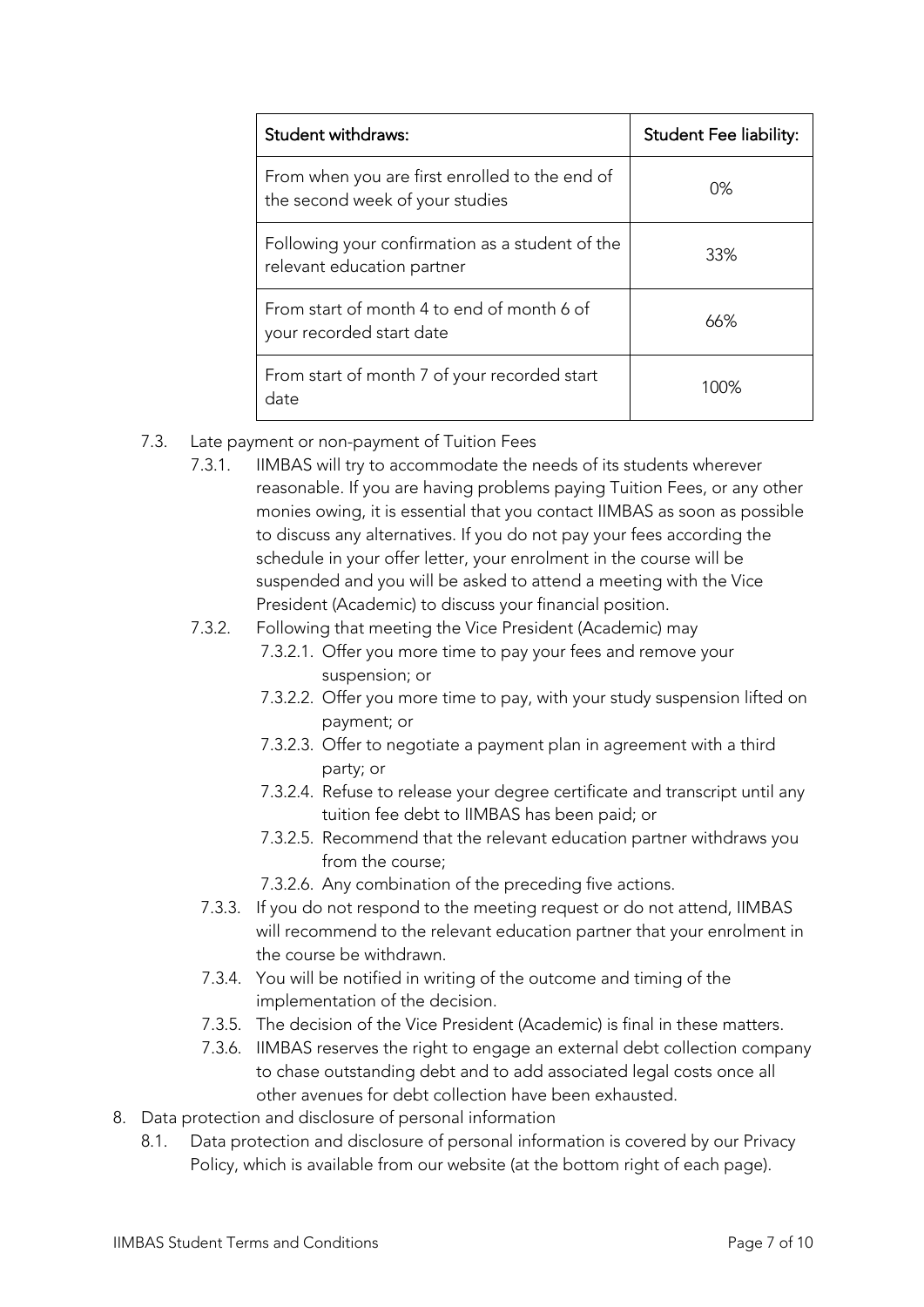| <b>Student withdraws:</b>                                                         | <b>Student Fee liability:</b> |
|-----------------------------------------------------------------------------------|-------------------------------|
| From when you are first enrolled to the end of<br>the second week of your studies | 0%                            |
| Following your confirmation as a student of the<br>relevant education partner     | 33%                           |
| From start of month 4 to end of month 6 of<br>your recorded start date            | 66%                           |
| From start of month 7 of your recorded start<br>date                              | 100%                          |

- 7.3. Late payment or non-payment of Tuition Fees
	- 7.3.1. IIMBAS will try to accommodate the needs of its students wherever reasonable. If you are having problems paying Tuition Fees, or any other monies owing, it is essential that you contact IIMBAS as soon as possible to discuss any alternatives. If you do not pay your fees according the schedule in your offer letter, your enrolment in the course will be suspended and you will be asked to attend a meeting with the Vice President (Academic) to discuss your financial position.

## 7.3.2. Following that meeting the Vice President (Academic) may

- 7.3.2.1. Offer you more time to pay your fees and remove your suspension; or
- 7.3.2.2. Offer you more time to pay, with your study suspension lifted on payment; or
- 7.3.2.3. Offer to negotiate a payment plan in agreement with a third party; or
- 7.3.2.4. Refuse to release your degree certificate and transcript until any tuition fee debt to IIMBAS has been paid; or
- 7.3.2.5. Recommend that the relevant education partner withdraws you from the course;
- 7.3.2.6. Any combination of the preceding five actions.
- 7.3.3. If you do not respond to the meeting request or do not attend, IIMBAS will recommend to the relevant education partner that your enrolment in the course be withdrawn.
- 7.3.4. You will be notified in writing of the outcome and timing of the implementation of the decision.
- 7.3.5. The decision of the Vice President (Academic) is final in these matters.
- 7.3.6. IIMBAS reserves the right to engage an external debt collection company to chase outstanding debt and to add associated legal costs once all other avenues for debt collection have been exhausted.
- 8. Data protection and disclosure of personal information
	- 8.1. Data protection and disclosure of personal information is covered by our Privacy Policy, which is available from our website (at the bottom right of each page).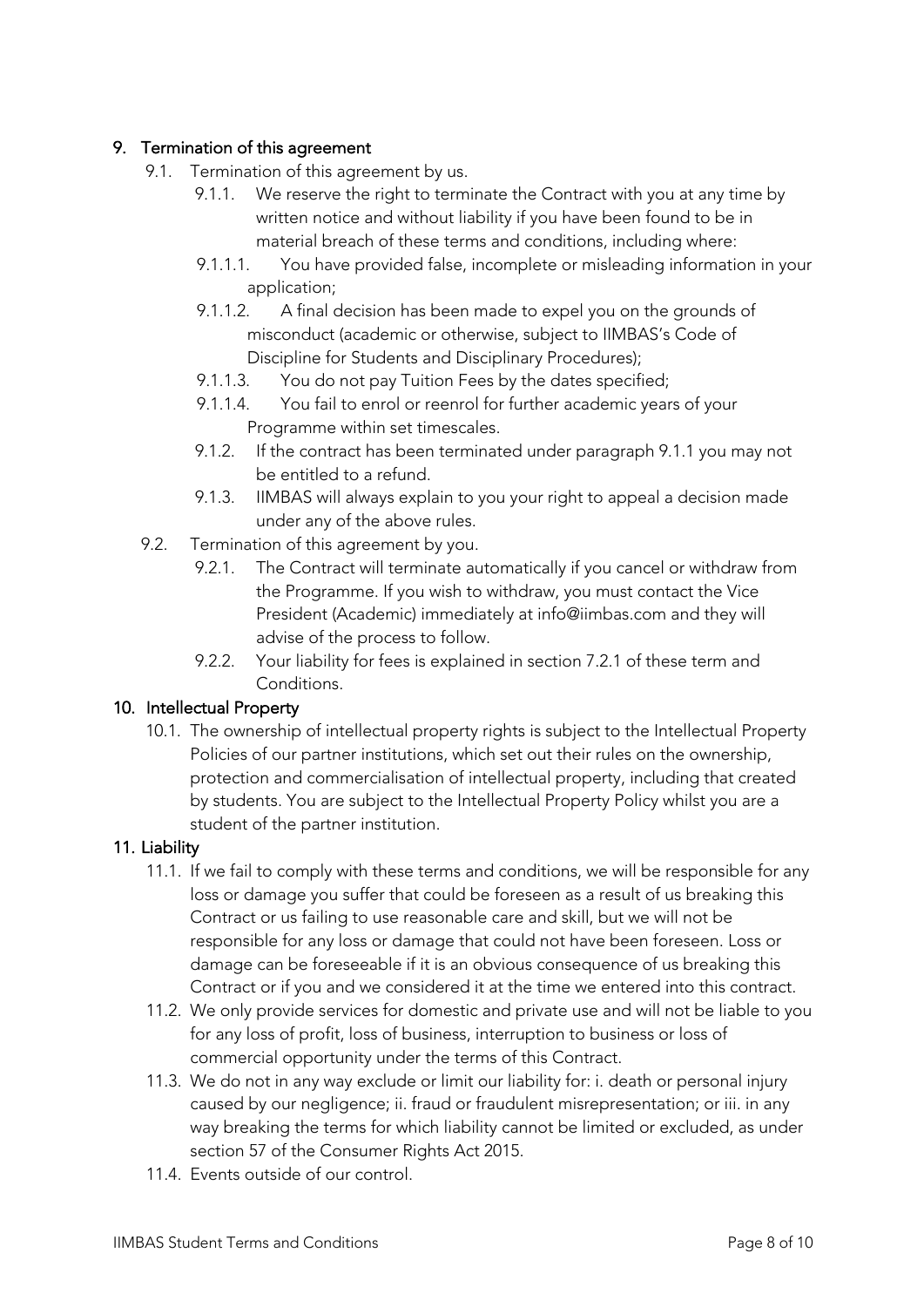## 9. Termination of this agreement

- 9.1. Termination of this agreement by us.
	- 9.1.1. We reserve the right to terminate the Contract with you at any time by written notice and without liability if you have been found to be in material breach of these terms and conditions, including where:
	- 9.1.1.1. You have provided false, incomplete or misleading information in your application;
	- 9.1.1.2. A final decision has been made to expel you on the grounds of misconduct (academic or otherwise, subject to IIMBAS's Code of Discipline for Students and Disciplinary Procedures);
	- 9.1.1.3. You do not pay Tuition Fees by the dates specified;
	- 9.1.1.4. You fail to enrol or reenrol for further academic years of your Programme within set timescales.
	- 9.1.2. If the contract has been terminated under paragraph 9.1.1 you may not be entitled to a refund.
	- 9.1.3. IIMBAS will always explain to you your right to appeal a decision made under any of the above rules.
- 9.2. Termination of this agreement by you.
	- 9.2.1. The Contract will terminate automatically if you cancel or withdraw from the Programme. If you wish to withdraw, you must contact the Vice President (Academic) immediately at info@iimbas.com and they will advise of the process to follow.
	- 9.2.2. Your liability for fees is explained in section 7.2.1 of these term and Conditions.

### 10. Intellectual Property

10.1. The ownership of intellectual property rights is subject to the Intellectual Property Policies of our partner institutions, which set out their rules on the ownership, protection and commercialisation of intellectual property, including that created by students. You are subject to the Intellectual Property Policy whilst you are a student of the partner institution.

### 11. Liability

- 11.1. If we fail to comply with these terms and conditions, we will be responsible for any loss or damage you suffer that could be foreseen as a result of us breaking this Contract or us failing to use reasonable care and skill, but we will not be responsible for any loss or damage that could not have been foreseen. Loss or damage can be foreseeable if it is an obvious consequence of us breaking this Contract or if you and we considered it at the time we entered into this contract.
- 11.2. We only provide services for domestic and private use and will not be liable to you for any loss of profit, loss of business, interruption to business or loss of commercial opportunity under the terms of this Contract.
- 11.3. We do not in any way exclude or limit our liability for: i. death or personal injury caused by our negligence; ii. fraud or fraudulent misrepresentation; or iii. in any way breaking the terms for which liability cannot be limited or excluded, as under section 57 of the Consumer Rights Act 2015.
- 11.4. Events outside of our control.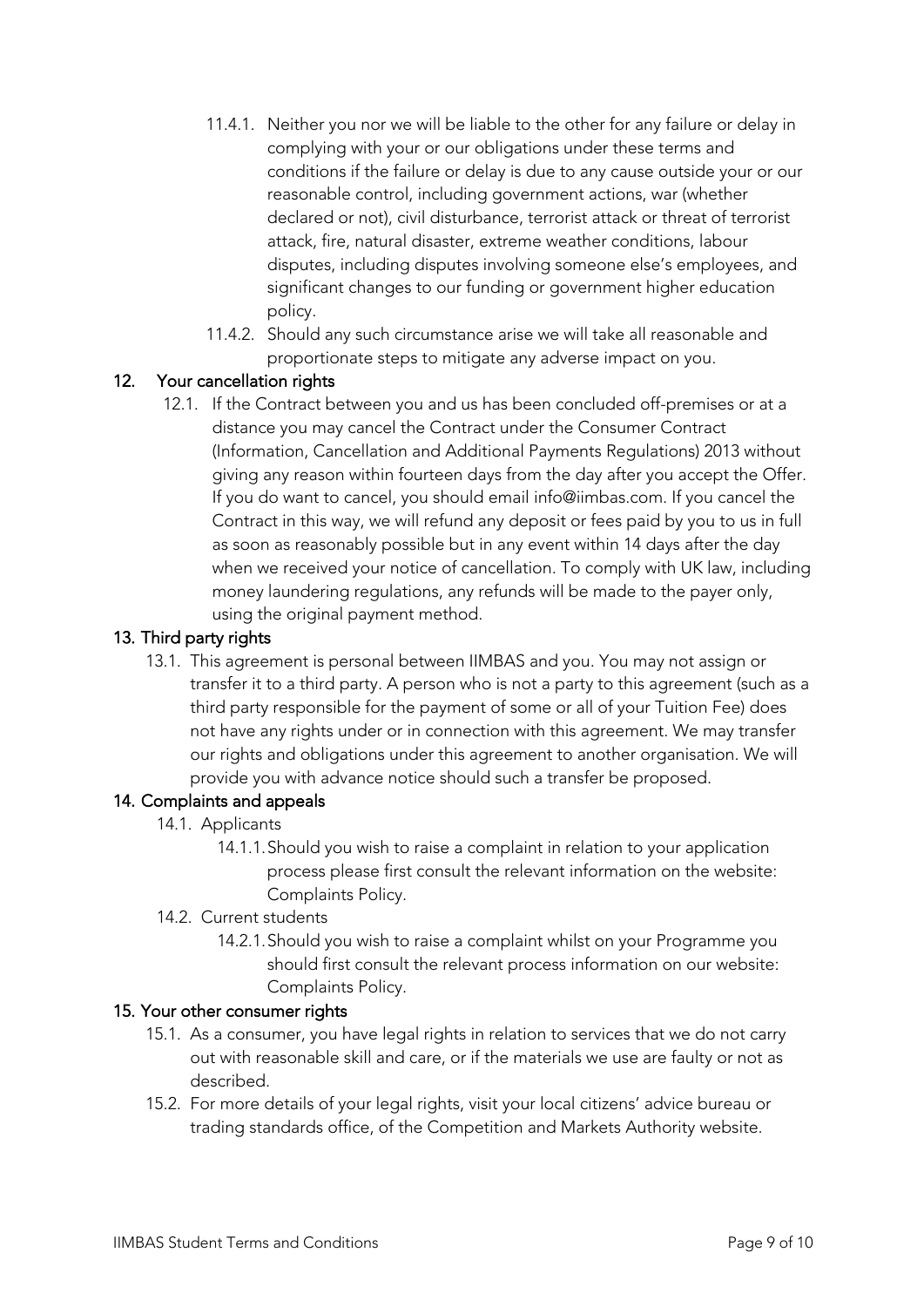- 11.4.1. Neither you nor we will be liable to the other for any failure or delay in complying with your or our obligations under these terms and conditions if the failure or delay is due to any cause outside your or our reasonable control, including government actions, war (whether declared or not), civil disturbance, terrorist attack or threat of terrorist attack, fire, natural disaster, extreme weather conditions, labour disputes, including disputes involving someone else's employees, and significant changes to our funding or government higher education policy.
- 11.4.2. Should any such circumstance arise we will take all reasonable and proportionate steps to mitigate any adverse impact on you.

## 12. Your cancellation rights

12.1. If the Contract between you and us has been concluded off-premises or at a distance you may cancel the Contract under the Consumer Contract (Information, Cancellation and Additional Payments Regulations) 2013 without giving any reason within fourteen days from the day after you accept the Offer. If you do want to cancel, you should email info@iimbas.com. If you cancel the Contract in this way, we will refund any deposit or fees paid by you to us in full as soon as reasonably possible but in any event within 14 days after the day when we received your notice of cancellation. To comply with UK law, including money laundering regulations, any refunds will be made to the payer only, using the original payment method.

### 13. Third party rights

13.1. This agreement is personal between IIMBAS and you. You may not assign or transfer it to a third party. A person who is not a party to this agreement (such as a third party responsible for the payment of some or all of your Tuition Fee) does not have any rights under or in connection with this agreement. We may transfer our rights and obligations under this agreement to another organisation. We will provide you with advance notice should such a transfer be proposed.

#### 14. Complaints and appeals

- 14.1. Applicants
	- 14.1.1.Should you wish to raise a complaint in relation to your application process please first consult the relevant information on the website: Complaints Policy.
- 14.2. Current students
	- 14.2.1.Should you wish to raise a complaint whilst on your Programme you should first consult the relevant process information on our website: Complaints Policy.

#### 15. Your other consumer rights

- 15.1. As a consumer, you have legal rights in relation to services that we do not carry out with reasonable skill and care, or if the materials we use are faulty or not as described.
- 15.2. For more details of your legal rights, visit your local citizens' advice bureau or trading standards office, of the Competition and Markets Authority website.